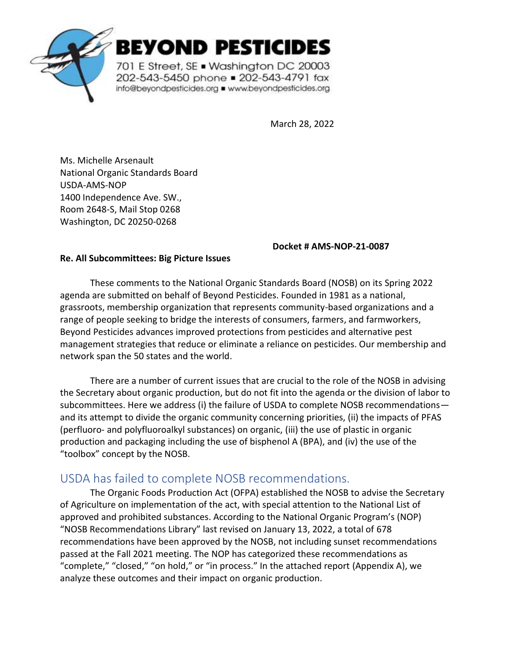

# BEYOND PESTICIDES

701 E Street, SE . Washington DC 20003 202-543-5450 phone = 202-543-4791 fax info@beyondpesticides.org = www.beyondpesticides.org

March 28, 2022

Ms. Michelle Arsenault National Organic Standards Board USDA-AMS-NOP 1400 Independence Ave. SW., Room 2648-S, Mail Stop 0268 Washington, DC 20250-0268

#### **Docket # AMS-NOP-21-0087**

#### **Re. All Subcommittees: Big Picture Issues**

These comments to the National Organic Standards Board (NOSB) on its Spring 2022 agenda are submitted on behalf of Beyond Pesticides. Founded in 1981 as a national, grassroots, membership organization that represents community-based organizations and a range of people seeking to bridge the interests of consumers, farmers, and farmworkers, Beyond Pesticides advances improved protections from pesticides and alternative pest management strategies that reduce or eliminate a reliance on pesticides. Our membership and network span the 50 states and the world.

There are a number of current issues that are crucial to the role of the NOSB in advising the Secretary about organic production, but do not fit into the agenda or the division of labor to subcommittees. Here we address (i) the failure of USDA to complete NOSB recommendations and its attempt to divide the organic community concerning priorities, (ii) the impacts of PFAS (perfluoro- and polyfluoroalkyl substances) on organic, (iii) the use of plastic in organic production and packaging including the use of bisphenol A (BPA), and (iv) the use of the "toolbox" concept by the NOSB.

## USDA has failed to complete NOSB recommendations.

The Organic Foods Production Act (OFPA) established the NOSB to advise the Secretary of Agriculture on implementation of the act, with special attention to the National List of approved and prohibited substances. According to the National Organic Program's (NOP) "NOSB Recommendations Library" last revised on January 13, 2022, a total of 678 recommendations have been approved by the NOSB, not including sunset recommendations passed at the Fall 2021 meeting. The NOP has categorized these recommendations as "complete," "closed," "on hold," or "in process." In the attached report (Appendix A), we analyze these outcomes and their impact on organic production.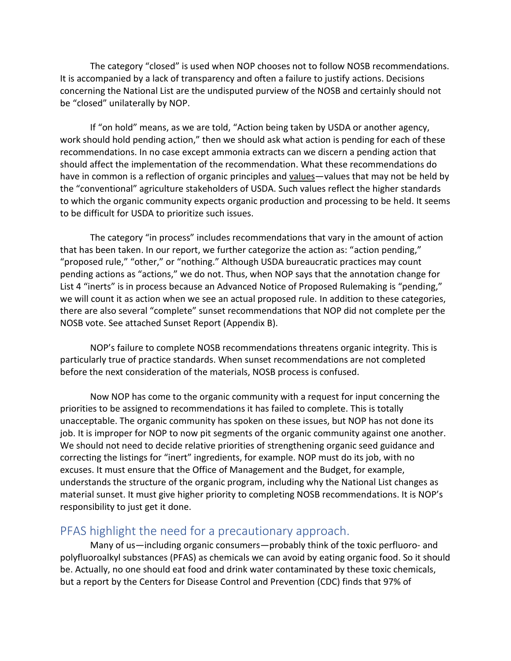The category "closed" is used when NOP chooses not to follow NOSB recommendations. It is accompanied by a lack of transparency and often a failure to justify actions. Decisions concerning the National List are the undisputed purview of the NOSB and certainly should not be "closed" unilaterally by NOP.

If "on hold" means, as we are told, "Action being taken by USDA or another agency, work should hold pending action," then we should ask what action is pending for each of these recommendations. In no case except ammonia extracts can we discern a pending action that should affect the implementation of the recommendation. What these recommendations do have in common is a reflection of organic principles and values—values that may not be held by the "conventional" agriculture stakeholders of USDA. Such values reflect the higher standards to which the organic community expects organic production and processing to be held. It seems to be difficult for USDA to prioritize such issues.

The category "in process" includes recommendations that vary in the amount of action that has been taken. In our report, we further categorize the action as: "action pending," "proposed rule," "other," or "nothing." Although USDA bureaucratic practices may count pending actions as "actions," we do not. Thus, when NOP says that the annotation change for List 4 "inerts" is in process because an Advanced Notice of Proposed Rulemaking is "pending," we will count it as action when we see an actual proposed rule. In addition to these categories, there are also several "complete" sunset recommendations that NOP did not complete per the NOSB vote. See attached Sunset Report (Appendix B).

NOP's failure to complete NOSB recommendations threatens organic integrity. This is particularly true of practice standards. When sunset recommendations are not completed before the next consideration of the materials, NOSB process is confused.

Now NOP has come to the organic community with a request for input concerning the priorities to be assigned to recommendations it has failed to complete. This is totally unacceptable. The organic community has spoken on these issues, but NOP has not done its job. It is improper for NOP to now pit segments of the organic community against one another. We should not need to decide relative priorities of strengthening organic seed guidance and correcting the listings for "inert" ingredients, for example. NOP must do its job, with no excuses. It must ensure that the Office of Management and the Budget, for example, understands the structure of the organic program, including why the National List changes as material sunset. It must give higher priority to completing NOSB recommendations. It is NOP's responsibility to just get it done.

## PFAS highlight the need for a precautionary approach.

Many of us—including organic consumers—probably think of the toxic perfluoro- and polyfluoroalkyl substances (PFAS) as chemicals we can avoid by eating organic food. So it should be. Actually, no one should eat food and drink water contaminated by these toxic chemicals, but a report by the Centers for Disease Control and Prevention (CDC) finds that 97% of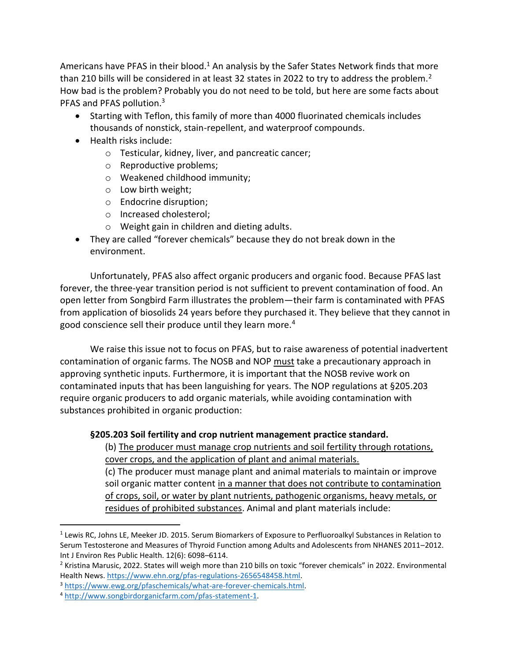Americans have PFAS in their blood.<sup>1</sup> An analysis by the Safer States Network finds that more than 210 bills will be considered in at least 32 states in 2022 to try to address the problem.<sup>2</sup> How bad is the problem? Probably you do not need to be told, but here are some facts about PFAS and PFAS pollution.<sup>3</sup>

- Starting with Teflon, this family of more than 4000 fluorinated chemicals includes thousands of nonstick, stain-repellent, and waterproof compounds.
- Health risks include:
	- o Testicular, kidney, liver, and pancreatic cancer;
	- o Reproductive problems;
	- o Weakened childhood immunity;
	- o Low birth weight;
	- o Endocrine disruption;
	- o Increased cholesterol;
	- o Weight gain in children and dieting adults.
- They are called "forever chemicals" because they do not break down in the environment.

Unfortunately, PFAS also affect organic producers and organic food. Because PFAS last forever, the three-year transition period is not sufficient to prevent contamination of food. An open letter from Songbird Farm illustrates the problem—their farm is contaminated with PFAS from application of biosolids 24 years before they purchased it. They believe that they cannot in good conscience sell their produce until they learn more.<sup>4</sup>

We raise this issue not to focus on PFAS, but to raise awareness of potential inadvertent contamination of organic farms. The NOSB and NOP must take a precautionary approach in approving synthetic inputs. Furthermore, it is important that the NOSB revive work on contaminated inputs that has been languishing for years. The NOP regulations at §205.203 require organic producers to add organic materials, while avoiding contamination with substances prohibited in organic production:

#### **§205.203 Soil fertility and crop nutrient management practice standard.**

(b) The producer must manage crop nutrients and soil fertility through rotations, cover crops, and the application of plant and animal materials.

(c) The producer must manage plant and animal materials to maintain or improve soil organic matter content in a manner that does not contribute to contamination of crops, soil, or water by plant nutrients, pathogenic organisms, heavy metals, or residues of prohibited substances. Animal and plant materials include:

<sup>&</sup>lt;sup>1</sup> Lewis RC, Johns LE, Meeker JD. 2015. Serum Biomarkers of Exposure to Perfluoroalkyl Substances in Relation to Serum Testosterone and Measures of Thyroid Function among Adults and Adolescents from NHANES 2011–2012. Int J Environ Res Public Health. 12(6): 6098–6114.

<sup>&</sup>lt;sup>2</sup> Kristina Marusic, 2022. States will weigh more than 210 bills on toxic "forever chemicals" in 2022. Environmental Health News[. https://www.ehn.org/pfas-regulations-2656548458.html.](https://www.ehn.org/pfas-regulations-2656548458.html)

<sup>3</sup> [https://www.ewg.org/pfaschemicals/what-are-forever-chemicals.html.](https://www.ewg.org/pfaschemicals/what-are-forever-chemicals.html)

<sup>4</sup> [http://www.songbirdorganicfarm.com/pfas-statement-1.](http://www.songbirdorganicfarm.com/pfas-statement-1)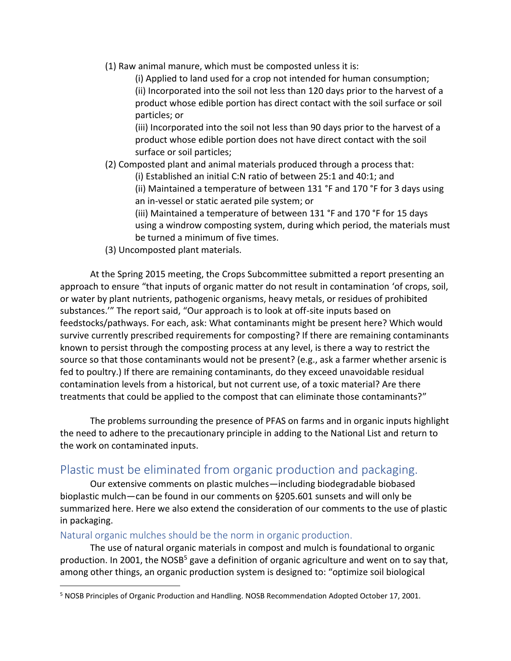(1) Raw animal manure, which must be composted unless it is:

(i) Applied to land used for a crop not intended for human consumption; (ii) Incorporated into the soil not less than 120 days prior to the harvest of a product whose edible portion has direct contact with the soil surface or soil particles; or

(iii) Incorporated into the soil not less than 90 days prior to the harvest of a product whose edible portion does not have direct contact with the soil surface or soil particles;

- (2) Composted plant and animal materials produced through a process that:
	- (i) Established an initial C:N ratio of between 25:1 and 40:1; and

(ii) Maintained a temperature of between 131 °F and 170 °F for 3 days using an in-vessel or static aerated pile system; or

- (iii) Maintained a temperature of between 131 °F and 170 °F for 15 days using a windrow composting system, during which period, the materials must be turned a minimum of five times.
- (3) Uncomposted plant materials.

At the Spring 2015 meeting, the Crops Subcommittee submitted a report presenting an approach to ensure "that inputs of organic matter do not result in contamination 'of crops, soil, or water by plant nutrients, pathogenic organisms, heavy metals, or residues of prohibited substances.'" The report said, "Our approach is to look at off-site inputs based on feedstocks/pathways. For each, ask: What contaminants might be present here? Which would survive currently prescribed requirements for composting? If there are remaining contaminants known to persist through the composting process at any level, is there a way to restrict the source so that those contaminants would not be present? (e.g., ask a farmer whether arsenic is fed to poultry.) If there are remaining contaminants, do they exceed unavoidable residual contamination levels from a historical, but not current use, of a toxic material? Are there treatments that could be applied to the compost that can eliminate those contaminants?"

The problems surrounding the presence of PFAS on farms and in organic inputs highlight the need to adhere to the precautionary principle in adding to the National List and return to the work on contaminated inputs.

## Plastic must be eliminated from organic production and packaging.

Our extensive comments on plastic mulches—including biodegradable biobased bioplastic mulch—can be found in our comments on §205.601 sunsets and will only be summarized here. Here we also extend the consideration of our comments to the use of plastic in packaging.

#### Natural organic mulches should be the norm in organic production.

The use of natural organic materials in compost and mulch is foundational to organic production. In 2001, the NOSB<sup>5</sup> gave a definition of organic agriculture and went on to say that, among other things, an organic production system is designed to: "optimize soil biological

<sup>5</sup> NOSB Principles of Organic Production and Handling. NOSB Recommendation Adopted October 17, 2001.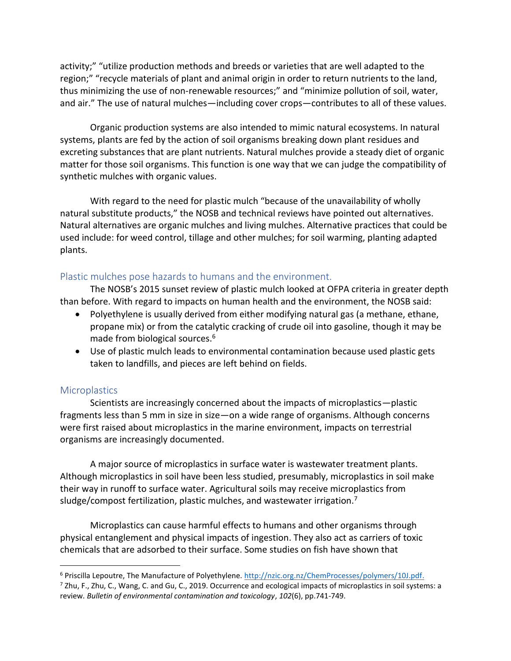activity;" "utilize production methods and breeds or varieties that are well adapted to the region;" "recycle materials of plant and animal origin in order to return nutrients to the land, thus minimizing the use of non-renewable resources;" and "minimize pollution of soil, water, and air." The use of natural mulches—including cover crops—contributes to all of these values.

Organic production systems are also intended to mimic natural ecosystems. In natural systems, plants are fed by the action of soil organisms breaking down plant residues and excreting substances that are plant nutrients. Natural mulches provide a steady diet of organic matter for those soil organisms. This function is one way that we can judge the compatibility of synthetic mulches with organic values.

With regard to the need for plastic mulch "because of the unavailability of wholly natural substitute products," the NOSB and technical reviews have pointed out alternatives. Natural alternatives are organic mulches and living mulches. Alternative practices that could be used include: for weed control, tillage and other mulches; for soil warming, planting adapted plants.

#### Plastic mulches pose hazards to humans and the environment.

The NOSB's 2015 sunset review of plastic mulch looked at OFPA criteria in greater depth than before. With regard to impacts on human health and the environment, the NOSB said:

- Polyethylene is usually derived from either modifying natural gas (a methane, ethane, propane mix) or from the catalytic cracking of crude oil into gasoline, though it may be made from biological sources.<sup>6</sup>
- Use of plastic mulch leads to environmental contamination because used plastic gets taken to landfills, and pieces are left behind on fields.

#### **Microplastics**

Scientists are increasingly concerned about the impacts of microplastics—plastic fragments less than 5 mm in size in size—on a wide range of organisms. Although concerns were first raised about microplastics in the marine environment, impacts on terrestrial organisms are increasingly documented.

A major source of microplastics in surface water is wastewater treatment plants. Although microplastics in soil have been less studied, presumably, microplastics in soil make their way in runoff to surface water. Agricultural soils may receive microplastics from sludge/compost fertilization, plastic mulches, and wastewater irrigation.<sup>7</sup>

Microplastics can cause harmful effects to humans and other organisms through physical entanglement and physical impacts of ingestion. They also act as carriers of toxic chemicals that are adsorbed to their surface. Some studies on fish have shown that

<sup>6</sup> Priscilla Lepoutre, The Manufacture of Polyethylene. [http://nzic.org.nz/ChemProcesses/polymers/10J.pdf.](http://nzic.org.nz/ChemProcesses/polymers/10J.pdf)

 $^7$  Zhu, F., Zhu, C., Wang, C. and Gu, C., 2019. Occurrence and ecological impacts of microplastics in soil systems: a review. *Bulletin of environmental contamination and toxicology*, *102*(6), pp.741-749.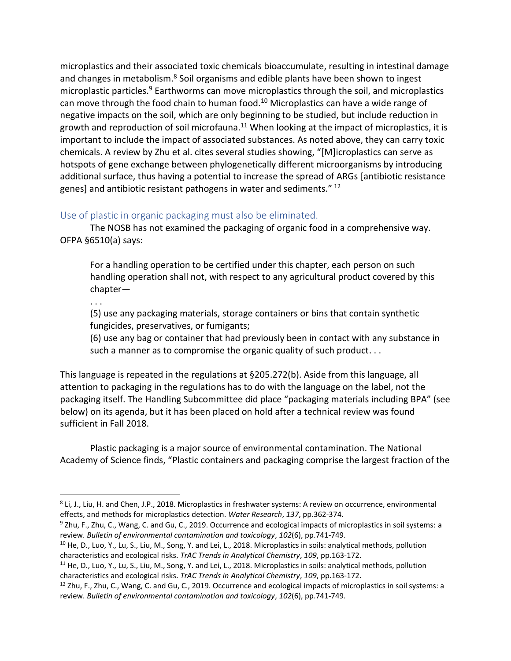microplastics and their associated toxic chemicals bioaccumulate, resulting in intestinal damage and changes in metabolism.<sup>8</sup> Soil organisms and edible plants have been shown to ingest microplastic particles.<sup>9</sup> Earthworms can move microplastics through the soil, and microplastics can move through the food chain to human food.<sup>10</sup> Microplastics can have a wide range of negative impacts on the soil, which are only beginning to be studied, but include reduction in growth and reproduction of soil microfauna.<sup>11</sup> When looking at the impact of microplastics, it is important to include the impact of associated substances. As noted above, they can carry toxic chemicals. A review by Zhu et al. cites several studies showing, "[M]icroplastics can serve as hotspots of gene exchange between phylogenetically different microorganisms by introducing additional surface, thus having a potential to increase the spread of ARGs [antibiotic resistance genes] and antibiotic resistant pathogens in water and sediments." <sup>12</sup>

#### Use of plastic in organic packaging must also be eliminated.

The NOSB has not examined the packaging of organic food in a comprehensive way. OFPA §6510(a) says:

For a handling operation to be certified under this chapter, each person on such handling operation shall not, with respect to any agricultural product covered by this chapter—

. . .

(5) use any packaging materials, storage containers or bins that contain synthetic fungicides, preservatives, or fumigants;

(6) use any bag or container that had previously been in contact with any substance in such a manner as to compromise the organic quality of such product. . .

This language is repeated in the regulations at §205.272(b). Aside from this language, all attention to packaging in the regulations has to do with the language on the label, not the packaging itself. The Handling Subcommittee did place "packaging materials including BPA" (see below) on its agenda, but it has been placed on hold after a technical review was found sufficient in Fall 2018.

Plastic packaging is a major source of environmental contamination. The National Academy of Science finds, "Plastic containers and packaging comprise the largest fraction of the

<sup>8</sup> Li, J., Liu, H. and Chen, J.P., 2018. Microplastics in freshwater systems: A review on occurrence, environmental effects, and methods for microplastics detection. *Water Research*, *137*, pp.362-374.

<sup>&</sup>lt;sup>9</sup> Zhu, F., Zhu, C., Wang, C. and Gu, C., 2019. Occurrence and ecological impacts of microplastics in soil systems: a review. *Bulletin of environmental contamination and toxicology*, *102*(6), pp.741-749.

<sup>&</sup>lt;sup>10</sup> He, D., Luo, Y., Lu, S., Liu, M., Song, Y. and Lei, L., 2018. Microplastics in soils: analytical methods, pollution characteristics and ecological risks. *TrAC Trends in Analytical Chemistry*, *109*, pp.163-172.

 $11$  He, D., Luo, Y., Lu, S., Liu, M., Song, Y. and Lei, L., 2018. Microplastics in soils: analytical methods, pollution characteristics and ecological risks. *TrAC Trends in Analytical Chemistry*, *109*, pp.163-172.

 $12$  Zhu, F., Zhu, C., Wang, C. and Gu, C., 2019. Occurrence and ecological impacts of microplastics in soil systems: a review. *Bulletin of environmental contamination and toxicology*, *102*(6), pp.741-749.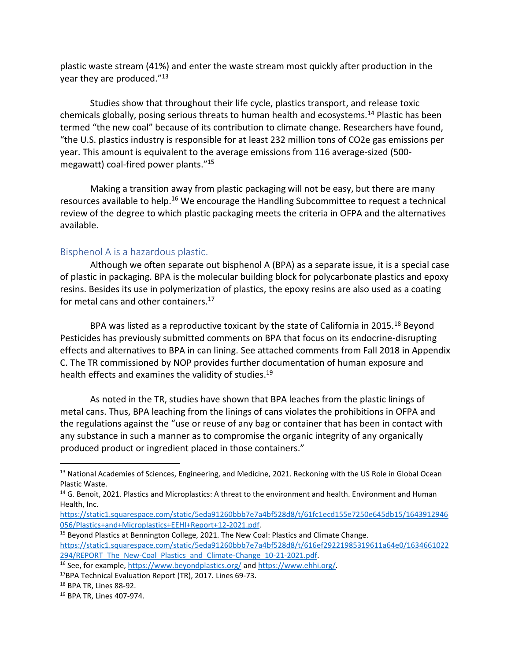plastic waste stream (41%) and enter the waste stream most quickly after production in the year they are produced."<sup>13</sup>

Studies show that throughout their life cycle, plastics transport, and release toxic chemicals globally, posing serious threats to human health and ecosystems.<sup>14</sup> Plastic has been termed "the new coal" because of its contribution to climate change. Researchers have found, "the U.S. plastics industry is responsible for at least 232 million tons of CO2e gas emissions per year. This amount is equivalent to the average emissions from 116 average-sized (500 megawatt) coal-fired power plants." 15

Making a transition away from plastic packaging will not be easy, but there are many resources available to help.<sup>16</sup> We encourage the Handling Subcommittee to request a technical review of the degree to which plastic packaging meets the criteria in OFPA and the alternatives available.

#### Bisphenol A is a hazardous plastic.

Although we often separate out bisphenol A (BPA) as a separate issue, it is a special case of plastic in packaging. BPA is the molecular building block for polycarbonate plastics and epoxy resins. Besides its use in polymerization of plastics, the epoxy resins are also used as a coating for metal cans and other containers.<sup>17</sup>

BPA was listed as a reproductive toxicant by the state of California in 2015.<sup>18</sup> Beyond Pesticides has previously submitted comments on BPA that focus on its endocrine-disrupting effects and alternatives to BPA in can lining. See attached comments from Fall 2018 in Appendix C. The TR commissioned by NOP provides further documentation of human exposure and health effects and examines the validity of studies.<sup>19</sup>

As noted in the TR, studies have shown that BPA leaches from the plastic linings of metal cans. Thus, BPA leaching from the linings of cans violates the prohibitions in OFPA and the regulations against the "use or reuse of any bag or container that has been in contact with any substance in such a manner as to compromise the organic integrity of any organically produced product or ingredient placed in those containers."

<sup>&</sup>lt;sup>13</sup> National Academies of Sciences, Engineering, and Medicine, 2021. Reckoning with the US Role in Global Ocean Plastic Waste.

<sup>&</sup>lt;sup>14</sup> G. Benoit, 2021. Plastics and Microplastics: A threat to the environment and health. Environment and Human Health, Inc.

[https://static1.squarespace.com/static/5eda91260bbb7e7a4bf528d8/t/61fc1ecd155e7250e645db15/1643912946](https://static1.squarespace.com/static/5eda91260bbb7e7a4bf528d8/t/61fc1ecd155e7250e645db15/1643912946056/Plastics+and+Microplastics+EEHI+Report+12-2021.pdf) [056/Plastics+and+Microplastics+EEHI+Report+12-2021.pdf.](https://static1.squarespace.com/static/5eda91260bbb7e7a4bf528d8/t/61fc1ecd155e7250e645db15/1643912946056/Plastics+and+Microplastics+EEHI+Report+12-2021.pdf)

<sup>&</sup>lt;sup>15</sup> Beyond Plastics at Bennington College, 2021. The New Coal: Plastics and Climate Change. [https://static1.squarespace.com/static/5eda91260bbb7e7a4bf528d8/t/616ef29221985319611a64e0/1634661022](https://static1.squarespace.com/static/5eda91260bbb7e7a4bf528d8/t/616ef29221985319611a64e0/1634661022294/REPORT_The_New-Coal_Plastics_and_Climate-Change_10-21-2021.pdf) 294/REPORT The New-Coal Plastics and Climate-Change 10-21-2021.pdf.

<sup>16</sup> See, for example[, https://www.beyondplastics.org/](https://www.beyondplastics.org/) an[d https://www.ehhi.org/.](https://www.ehhi.org/) 

<sup>17</sup>BPA Technical Evaluation Report (TR), 2017. Lines 69-73.

<sup>18</sup> BPA TR, Lines 88-92.

<sup>19</sup> BPA TR, Lines 407-974.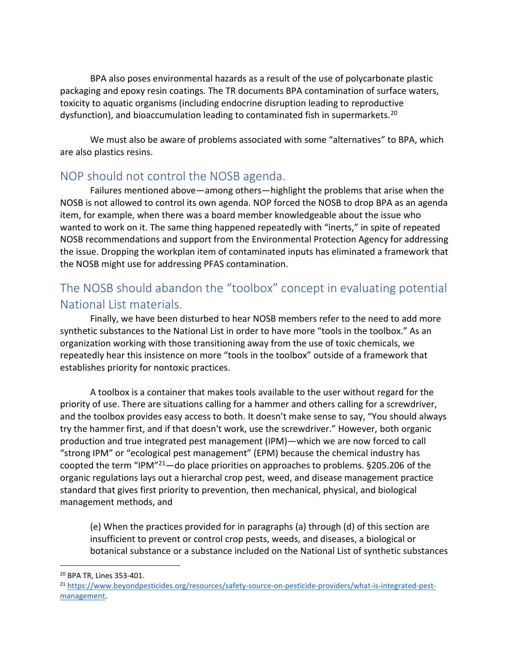BPA also poses environmental hazards as a result of the use of polycarbonate plastic packaging and epoxy resin coatings. The TR documents BPA contamination of surface waters, toxicity to aquatic organisms (including endocrine disruption leading to reproductive dysfunction), and bioaccumulation leading to contaminated fish in supermarkets.<sup>20</sup>

We must also be aware of problems associated with some "alternatives" to BPA, which are also plastics resins.

## NOP should not control the NOSB agenda.

Failures mentioned above—among others—highlight the problems that arise when the NOSB is not allowed to control its own agenda. NOP forced the NOSB to drop BPA as an agenda item, for example, when there was a board member knowledgeable about the issue who wanted to work on it. The same thing happened repeatedly with "inerts," in spite of repeated NOSB recommendations and support from the Environmental Protection Agency for addressing the issue. Dropping the workplan item of contaminated inputs has eliminated a framework that the NOSB might use for addressing PFAS contamination.

## The NOSB should abandon the "toolbox" concept in evaluating potential National List materials.

Finally, we have been disturbed to hear NOSB members refer to the need to add more synthetic substances to the National List in order to have more "tools in the toolbox." As an organization working with those transitioning away from the use of toxic chemicals, we repeatedly hear this insistence on more "tools in the toolbox" outside of a framework that establishes priority for nontoxic practices.

A toolbox is a container that makes tools available to the user without regard for the priority of use. There are situations calling for a hammer and others calling for a screwdriver, and the toolbox provides easy access to both. It doesn't make sense to say, "You should always try the hammer first, and if that doesn't work, use the screwdriver." However, both organic production and true integrated pest management (IPM)—which we are now forced to call "strong IPM" or "ecological pest management" (EPM) because the chemical industry has coopted the term "IPM"<sup>21</sup>—do place priorities on approaches to problems. §205.206 of the organic regulations lays out a hierarchal crop pest, weed, and disease management practice standard that gives first priority to prevention, then mechanical, physical, and biological management methods, and

(e) When the practices provided for in paragraphs (a) through (d) of this section are insufficient to prevent or control crop pests, weeds, and diseases, a biological or botanical substance or a substance included on the National List of synthetic substances

<sup>20</sup> BPA TR, Lines 353-401.

<sup>21</sup> [https://www.beyondpesticides.org/resources/safety-source-on-pesticide-providers/what-is-integrated-pest](https://www.beyondpesticides.org/resources/safety-source-on-pesticide-providers/what-is-integrated-pest-management)[management.](https://www.beyondpesticides.org/resources/safety-source-on-pesticide-providers/what-is-integrated-pest-management)